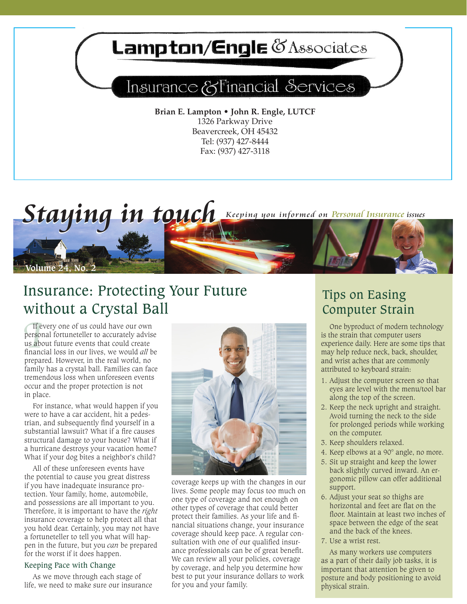

*Staying in touch* Keeping you informed on Personal Insurance issues

# Insurance: Protecting Your Future without a Crystal Ball

If e<br>person<br>us abo<br>financ If every one of us could have our own personal fortuneteller to accurately advise us about future events that could create financial loss in our lives, we would *all* be prepared. However, in the real world, no family has a crystal ball. Families can face tremendous loss when unforeseen events occur and the proper protection is not in place.

**Volume 24, No. 2**

For instance, what would happen if you were to have a car accident, hit a pedestrian, and subsequently find yourself in a substantial lawsuit? What if a fire causes structural damage to your house? What if a hurricane destroys your vacation home? What if your dog bites a neighbor's child?

All of these unforeseen events have the potential to cause you great distress if you have inadequate insurance protection. Your family, home, automobile, and possessions are all important to you. Therefore, it is important to have the *right*  insurance coverage to help protect all that you hold dear. Certainly, you may not have a fortuneteller to tell you what will happen in the future, but you *can* be prepared for the worst if it does happen.

### Keeping Pace with Change

As we move through each stage of life, we need to make sure our insurance



coverage keeps up with the changes in our lives. Some people may focus too much on one type of coverage and not enough on other types of coverage that could better protect their families. As your life and financial situations change, your insurance coverage should keep pace. A regular consultation with one of our qualified insurance professionals can be of great benefit. We can review all your policies, coverage by coverage, and help you determine how best to put your insurance dollars to work for you and your family.

### Tips on Easing Computer Strain

One byproduct of modern technology is the strain that computer users experience daily. Here are some tips that may help reduce neck, back, shoulder, and wrist aches that are commonly attributed to keyboard strain:

- 1. Adjust the computer screen so that eyes are level with the menu/tool bar along the top of the screen.
- 2. Keep the neck upright and straight. Avoid turning the neck to the side for prolonged periods while working on the computer.
- 3. Keep shoulders relaxed.
- 4. Keep elbows at a 90° angle, no more.
- 5. Sit up straight and keep the lower back slightly curved inward. An ergonomic pillow can offer additional support.
- 6. Adjust your seat so thighs are horizontal and feet are flat on the floor. Maintain at least two inches of space between the edge of the seat and the back of the knees.
- 7. Use a wrist rest.

As many workers use computers as a part of their daily job tasks, it is important that attention be given to posture and body positioning to avoid physical strain.